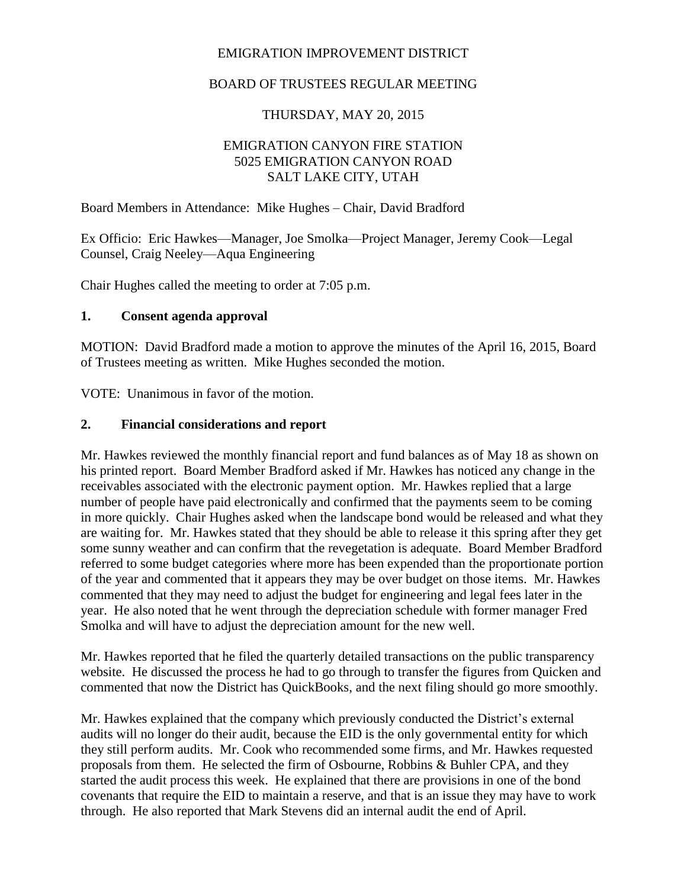## EMIGRATION IMPROVEMENT DISTRICT

# BOARD OF TRUSTEES REGULAR MEETING

## THURSDAY, MAY 20, 2015

## EMIGRATION CANYON FIRE STATION 5025 EMIGRATION CANYON ROAD SALT LAKE CITY, UTAH

Board Members in Attendance: Mike Hughes – Chair, David Bradford

Ex Officio: Eric Hawkes—Manager, Joe Smolka—Project Manager, Jeremy Cook—Legal Counsel, Craig Neeley—Aqua Engineering

Chair Hughes called the meeting to order at 7:05 p.m.

#### **1. Consent agenda approval**

MOTION: David Bradford made a motion to approve the minutes of the April 16, 2015, Board of Trustees meeting as written. Mike Hughes seconded the motion.

VOTE: Unanimous in favor of the motion.

#### **2. Financial considerations and report**

Mr. Hawkes reviewed the monthly financial report and fund balances as of May 18 as shown on his printed report. Board Member Bradford asked if Mr. Hawkes has noticed any change in the receivables associated with the electronic payment option. Mr. Hawkes replied that a large number of people have paid electronically and confirmed that the payments seem to be coming in more quickly. Chair Hughes asked when the landscape bond would be released and what they are waiting for. Mr. Hawkes stated that they should be able to release it this spring after they get some sunny weather and can confirm that the revegetation is adequate. Board Member Bradford referred to some budget categories where more has been expended than the proportionate portion of the year and commented that it appears they may be over budget on those items. Mr. Hawkes commented that they may need to adjust the budget for engineering and legal fees later in the year. He also noted that he went through the depreciation schedule with former manager Fred Smolka and will have to adjust the depreciation amount for the new well.

Mr. Hawkes reported that he filed the quarterly detailed transactions on the public transparency website. He discussed the process he had to go through to transfer the figures from Quicken and commented that now the District has QuickBooks, and the next filing should go more smoothly.

Mr. Hawkes explained that the company which previously conducted the District's external audits will no longer do their audit, because the EID is the only governmental entity for which they still perform audits. Mr. Cook who recommended some firms, and Mr. Hawkes requested proposals from them. He selected the firm of Osbourne, Robbins & Buhler CPA, and they started the audit process this week. He explained that there are provisions in one of the bond covenants that require the EID to maintain a reserve, and that is an issue they may have to work through. He also reported that Mark Stevens did an internal audit the end of April.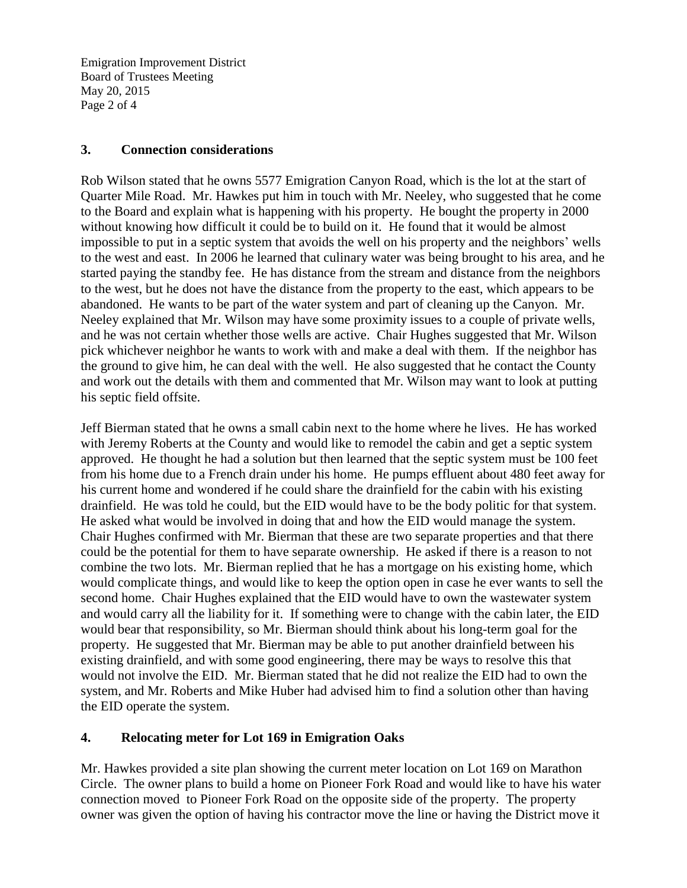Emigration Improvement District Board of Trustees Meeting May 20, 2015 Page 2 of 4

#### **3. Connection considerations**

Rob Wilson stated that he owns 5577 Emigration Canyon Road, which is the lot at the start of Quarter Mile Road. Mr. Hawkes put him in touch with Mr. Neeley, who suggested that he come to the Board and explain what is happening with his property. He bought the property in 2000 without knowing how difficult it could be to build on it. He found that it would be almost impossible to put in a septic system that avoids the well on his property and the neighbors' wells to the west and east. In 2006 he learned that culinary water was being brought to his area, and he started paying the standby fee. He has distance from the stream and distance from the neighbors to the west, but he does not have the distance from the property to the east, which appears to be abandoned. He wants to be part of the water system and part of cleaning up the Canyon. Mr. Neeley explained that Mr. Wilson may have some proximity issues to a couple of private wells, and he was not certain whether those wells are active. Chair Hughes suggested that Mr. Wilson pick whichever neighbor he wants to work with and make a deal with them. If the neighbor has the ground to give him, he can deal with the well. He also suggested that he contact the County and work out the details with them and commented that Mr. Wilson may want to look at putting his septic field offsite.

Jeff Bierman stated that he owns a small cabin next to the home where he lives. He has worked with Jeremy Roberts at the County and would like to remodel the cabin and get a septic system approved. He thought he had a solution but then learned that the septic system must be 100 feet from his home due to a French drain under his home. He pumps effluent about 480 feet away for his current home and wondered if he could share the drainfield for the cabin with his existing drainfield. He was told he could, but the EID would have to be the body politic for that system. He asked what would be involved in doing that and how the EID would manage the system. Chair Hughes confirmed with Mr. Bierman that these are two separate properties and that there could be the potential for them to have separate ownership. He asked if there is a reason to not combine the two lots. Mr. Bierman replied that he has a mortgage on his existing home, which would complicate things, and would like to keep the option open in case he ever wants to sell the second home. Chair Hughes explained that the EID would have to own the wastewater system and would carry all the liability for it. If something were to change with the cabin later, the EID would bear that responsibility, so Mr. Bierman should think about his long-term goal for the property. He suggested that Mr. Bierman may be able to put another drainfield between his existing drainfield, and with some good engineering, there may be ways to resolve this that would not involve the EID. Mr. Bierman stated that he did not realize the EID had to own the system, and Mr. Roberts and Mike Huber had advised him to find a solution other than having the EID operate the system.

## **4. Relocating meter for Lot 169 in Emigration Oaks**

Mr. Hawkes provided a site plan showing the current meter location on Lot 169 on Marathon Circle. The owner plans to build a home on Pioneer Fork Road and would like to have his water connection moved to Pioneer Fork Road on the opposite side of the property. The property owner was given the option of having his contractor move the line or having the District move it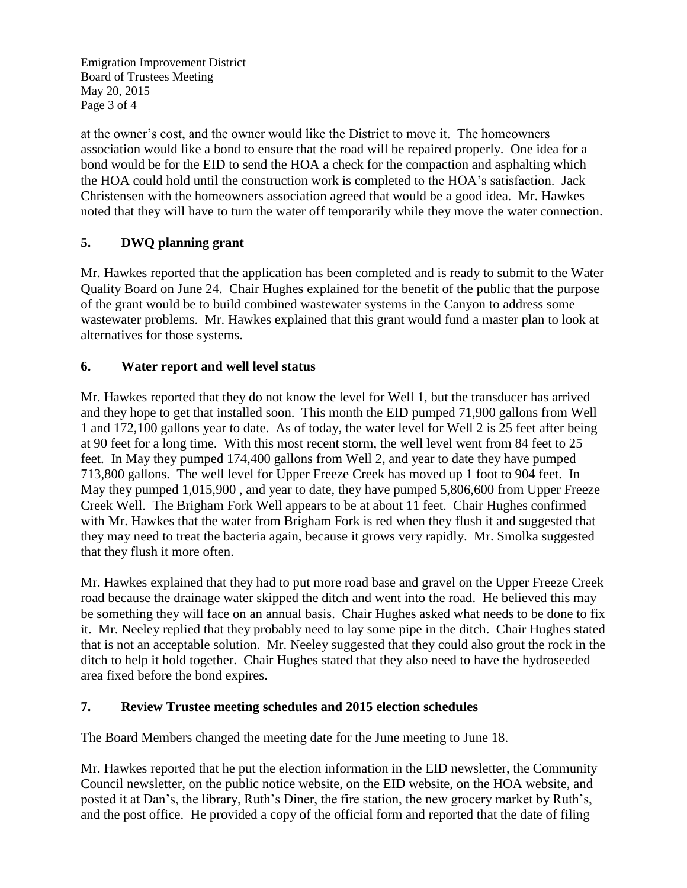Emigration Improvement District Board of Trustees Meeting May 20, 2015 Page 3 of 4

at the owner's cost, and the owner would like the District to move it. The homeowners association would like a bond to ensure that the road will be repaired properly. One idea for a bond would be for the EID to send the HOA a check for the compaction and asphalting which the HOA could hold until the construction work is completed to the HOA's satisfaction. Jack Christensen with the homeowners association agreed that would be a good idea. Mr. Hawkes noted that they will have to turn the water off temporarily while they move the water connection.

# **5. DWQ planning grant**

Mr. Hawkes reported that the application has been completed and is ready to submit to the Water Quality Board on June 24. Chair Hughes explained for the benefit of the public that the purpose of the grant would be to build combined wastewater systems in the Canyon to address some wastewater problems. Mr. Hawkes explained that this grant would fund a master plan to look at alternatives for those systems.

## **6. Water report and well level status**

Mr. Hawkes reported that they do not know the level for Well 1, but the transducer has arrived and they hope to get that installed soon. This month the EID pumped 71,900 gallons from Well 1 and 172,100 gallons year to date. As of today, the water level for Well 2 is 25 feet after being at 90 feet for a long time. With this most recent storm, the well level went from 84 feet to 25 feet. In May they pumped 174,400 gallons from Well 2, and year to date they have pumped 713,800 gallons. The well level for Upper Freeze Creek has moved up 1 foot to 904 feet. In May they pumped 1,015,900 , and year to date, they have pumped 5,806,600 from Upper Freeze Creek Well. The Brigham Fork Well appears to be at about 11 feet. Chair Hughes confirmed with Mr. Hawkes that the water from Brigham Fork is red when they flush it and suggested that they may need to treat the bacteria again, because it grows very rapidly. Mr. Smolka suggested that they flush it more often.

Mr. Hawkes explained that they had to put more road base and gravel on the Upper Freeze Creek road because the drainage water skipped the ditch and went into the road. He believed this may be something they will face on an annual basis. Chair Hughes asked what needs to be done to fix it. Mr. Neeley replied that they probably need to lay some pipe in the ditch. Chair Hughes stated that is not an acceptable solution. Mr. Neeley suggested that they could also grout the rock in the ditch to help it hold together. Chair Hughes stated that they also need to have the hydroseeded area fixed before the bond expires.

#### **7. Review Trustee meeting schedules and 2015 election schedules**

The Board Members changed the meeting date for the June meeting to June 18.

Mr. Hawkes reported that he put the election information in the EID newsletter, the Community Council newsletter, on the public notice website, on the EID website, on the HOA website, and posted it at Dan's, the library, Ruth's Diner, the fire station, the new grocery market by Ruth's, and the post office. He provided a copy of the official form and reported that the date of filing